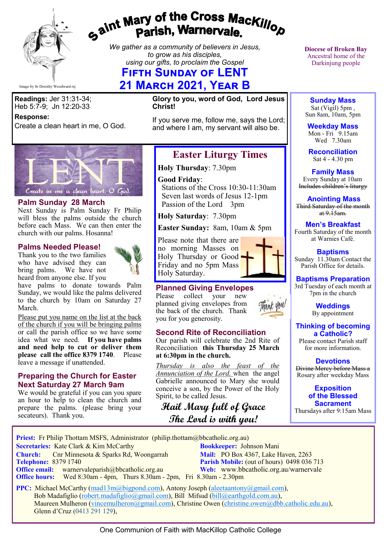

# gaint Mary of the Cross Mackillop<br>Parish, Warnervale.

*We gather as a community of believers in Jesus, to grow as his disciples, using our gifts, to proclaim the Gospel*

# **Fifth Sunday of LENT 21 March 2021, Year B**

**Readings:** Jer 31:31-34; Heb 5:7-9; Jn 12:20-33

#### **Response:**

Create a clean heart in me, O God.

**Glory to you, word of God, Lord Jesus Christ!**

If you serve me, follow me, says the Lord; and where I am, my servant will also be.



#### **Palm Sunday 28 March**

Next Sunday is Palm Sunday Fr Philip will bless the palms outside the church before each Mass. We can then enter the church with our palms. Hosanna!

#### **Palms Needed Please!**

Thank you to the two families who have advised they can bring palms. We have not heard from anyone else. If you



have palms to donate towards Palm Sunday, we would like the palms delivered to the church by 10am on Saturday 27 March.

Please put you name on the list at the back of the church if you will be bringing palms or call the parish office so we have some idea what we need. **If you have palms and need help to cut or deliver them please call the office 8379 1740**. Please leave a message if unattended.

#### **Preparing the Church for Easter Next Saturday 27 March 9am**

We would be grateful if you can you spare an hour to help to clean the church and prepare the palms. (please bring your secateurs). Thank you.

# **Easter Liturgy Times**

**Holy Thursday**: 7.30pm

#### **Good Friday**:

 Stations of the Cross 10:30-11:30am Seven last words of Jesus 12-1pm Passion of the Lord 3pm

**Holy Saturday**: 7.30pm

**Easter Sunday:** 8am, 10am & 5pm

Please note that there are no morning Masses on Holy Thursday or Good . Friday and no 5pm Mass Holy Saturday.



collect your new planned giving envelopes from the back of the church. Thank you for you generosity.

#### **Second Rite of Reconciliation**

Our parish will celebrate the 2nd Rite of Reconciliation **this Thursday 25 March at 6:30pm in the church.**

*Thursday is also the feast of the Annunciation of the Lord,* when the angel Gabrielle announced to Mary she would conceive a son, by the Power of the Holy Spirit, to be called Jesus.

# **Hail Mary full of Grace The Lord is with you!**

**Diocese of Broken Bay**  Ancestral home of the Darkinjung people

**Sunday Mass** Sat (Vigil) 5pm,

Sun 8am, 10am, 5pm

**Weekday Mass** Mon - Fri 9.15am Wed 7.30am

**Reconciliation** Sat 4 - 4.30 pm

**Family Mass**  Every Sunday at 10am Includes children's liturgy

**Anointing Mass** Third Saturday of the month  $at 9.15am.$ 

**Men's Breakfast**

Fourth Saturday of the month at Warnies Café.

**Baptisms** Sunday 11.30am Contact the Parish Office for details.

## **Baptisms Preparation**

3rd Tuesday of each month at 7pm in the church

> **Weddings**  By appointment

**Thinking of becoming a Catholic?**

Please contact Parish staff for more information.

**Devotions**

Divine Mercy before Mass a Rosary after weekday Mass

> **Exposition of the Blessed Sacrament**

Thursdays after 9:15am Mass

**Priest:** Fr Philip Thottam MSFS, Administrator (philip.thottam@bbcatholic.org.au)

 **Secretaries:** Kate Clark & Kim McCarthy **Bookkeeper:** Johnson Mani

**Church:** Cnr Minnesota & Sparks Rd, Woongarrah **Mail: PO Box 4367, Lake Haven, 2263**<br> **Parish Mobile:** (out of hours) 0498 036 **Office email:** warnervaleparish@bbcatholic.org.au **Web:** [www.bbcatholic.org.au/warnervale](https://www.bbcatholic.org.au/warnervale)

**Parish Mobile:** (out of hours) 0498 036 713  **Office hours:** Wed 8:30am - 4pm, Thurs 8.30am - 2pm, Fri 8.30am - 2.30pm

**PPC:** Michael McCarthy ([mad13m@bigpond.com\),](mailto:mad13m@bigpond.com) Antony Joseph ([aleetaantony@gmail.com\)](mailto:aleetaantony@gmail.com), Bob Madafiglio ([robert.madafiglio@gmail.com\),](mailto:robert.madafiglio@gmail.com) Bill Mifsud ([bill@earthgold.com.au\),](mailto:bill@earthgold.com.au) Maureen Mulheron [\(vincemulheron@gmail.com\),](mailto:vincemulheron@gmail.com) Christine Owen (christine.owe[n@dbb.catholic.edu.au\),](mailto:ann.jackson@dbb.catholic.edu.au) Glenn d'Cruz (0413 291 129),